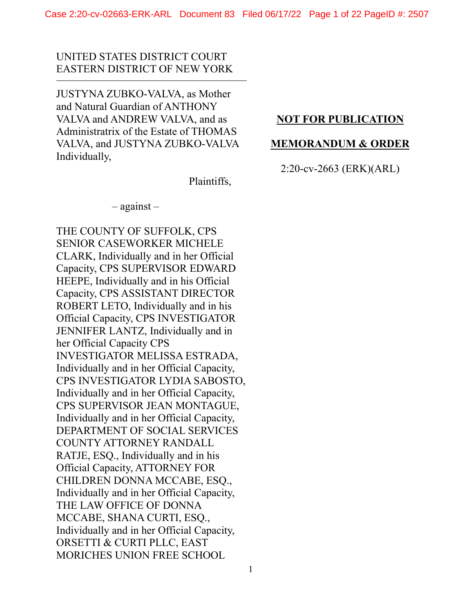# UNITED STATES DISTRICT COURT EASTERN DISTRICT OF NEW YORK

JUSTYNA ZUBKO-VALVA, as Mother and Natural Guardian of ANTHONY VALVA and ANDREW VALVA, and as Administratrix of the Estate of THOMAS VALVA, and JUSTYNA ZUBKO-VALVA Individually,

# **NOT FOR PUBLICATION**

# **MEMORANDUM & ORDER**

# 2:20-cv-2663 (ERK)(ARL)

Plaintiffs,

– against –

THE COUNTY OF SUFFOLK, CPS SENIOR CASEWORKER MICHELE CLARK, Individually and in her Official Capacity, CPS SUPERVISOR EDWARD HEEPE, Individually and in his Official Capacity, CPS ASSISTANT DIRECTOR ROBERT LETO, Individually and in his Official Capacity, CPS INVESTIGATOR JENNIFER LANTZ, Individually and in her Official Capacity CPS INVESTIGATOR MELISSA ESTRADA, Individually and in her Official Capacity, CPS INVESTIGATOR LYDIA SABOSTO, Individually and in her Official Capacity, CPS SUPERVISOR JEAN MONTAGUE, Individually and in her Official Capacity, DEPARTMENT OF SOCIAL SERVICES COUNTY ATTORNEY RANDALL RATJE, ESQ., Individually and in his Official Capacity, ATTORNEY FOR CHILDREN DONNA MCCABE, ESQ., Individually and in her Official Capacity, THE LAW OFFICE OF DONNA MCCABE, SHANA CURTI, ESQ., Individually and in her Official Capacity, ORSETTI & CURTI PLLC, EAST MORICHES UNION FREE SCHOOL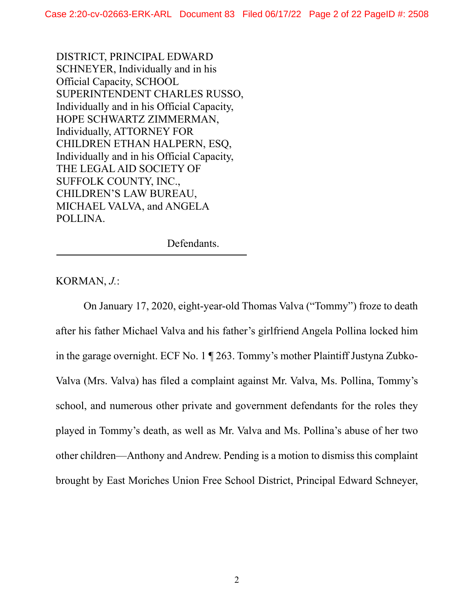DISTRICT, PRINCIPAL EDWARD SCHNEYER, Individually and in his Official Capacity, SCHOOL SUPERINTENDENT CHARLES RUSSO, Individually and in his Official Capacity, HOPE SCHWARTZ ZIMMERMAN, Individually, ATTORNEY FOR CHILDREN ETHAN HALPERN, ESQ, Individually and in his Official Capacity, THE LEGAL AID SOCIETY OF SUFFOLK COUNTY, INC., CHILDREN'S LAW BUREAU, MICHAEL VALVA, and ANGELA POLLINA.

Defendants.

KORMAN, *J.*:

On January 17, 2020, eight-year-old Thomas Valva ("Tommy") froze to death after his father Michael Valva and his father's girlfriend Angela Pollina locked him in the garage overnight. ECF No. 1 ¶ 263. Tommy's mother Plaintiff Justyna Zubko-Valva (Mrs. Valva) has filed a complaint against Mr. Valva, Ms. Pollina, Tommy's school, and numerous other private and government defendants for the roles they played in Tommy's death, as well as Mr. Valva and Ms. Pollina's abuse of her two other children—Anthony and Andrew. Pending is a motion to dismiss this complaint brought by East Moriches Union Free School District, Principal Edward Schneyer,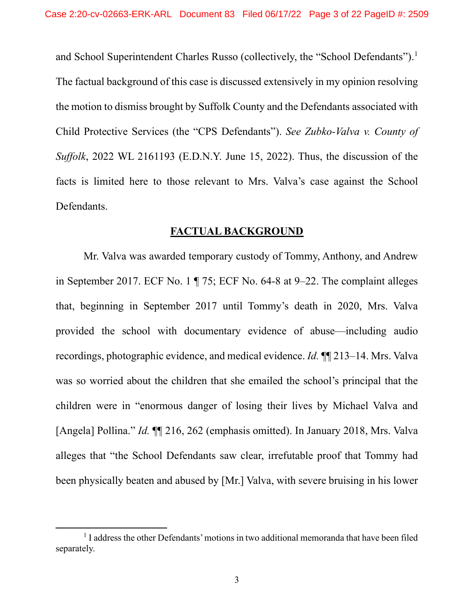and School Superintendent Charles Russo (collectively, the "School Defendants").<sup>1</sup> The factual background of this case is discussed extensively in my opinion resolving the motion to dismiss brought by Suffolk County and the Defendants associated with Child Protective Services (the "CPS Defendants"). *See Zubko-Valva v. County of Suffolk*, 2022 WL 2161193 (E.D.N.Y. June 15, 2022). Thus, the discussion of the facts is limited here to those relevant to Mrs. Valva's case against the School Defendants.

# **FACTUAL BACKGROUND**

Mr. Valva was awarded temporary custody of Tommy, Anthony, and Andrew in September 2017. ECF No. 1 ¶ 75; ECF No. 64-8 at 9–22. The complaint alleges that, beginning in September 2017 until Tommy's death in 2020, Mrs. Valva provided the school with documentary evidence of abuse—including audio recordings, photographic evidence, and medical evidence. *Id.* ¶¶ 213–14. Mrs. Valva was so worried about the children that she emailed the school's principal that the children were in "enormous danger of losing their lives by Michael Valva and [Angela] Pollina." *Id.* ¶¶ 216, 262 (emphasis omitted). In January 2018, Mrs. Valva alleges that "the School Defendants saw clear, irrefutable proof that Tommy had been physically beaten and abused by [Mr.] Valva, with severe bruising in his lower

<sup>&</sup>lt;sup>1</sup> I address the other Defendants' motions in two additional memoranda that have been filed separately.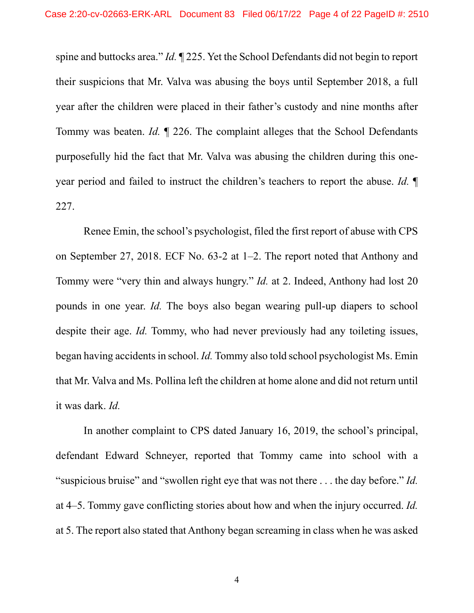spine and buttocks area." *Id.* ¶ 225. Yet the School Defendants did not begin to report their suspicions that Mr. Valva was abusing the boys until September 2018, a full year after the children were placed in their father's custody and nine months after Tommy was beaten. *Id.* ¶ 226. The complaint alleges that the School Defendants purposefully hid the fact that Mr. Valva was abusing the children during this oneyear period and failed to instruct the children's teachers to report the abuse. *Id.* ¶ 227.

Renee Emin, the school's psychologist, filed the first report of abuse with CPS on September 27, 2018. ECF No. 63-2 at 1–2. The report noted that Anthony and Tommy were "very thin and always hungry." *Id.* at 2. Indeed, Anthony had lost 20 pounds in one year. *Id.* The boys also began wearing pull-up diapers to school despite their age. *Id.* Tommy, who had never previously had any toileting issues, began having accidents in school. *Id.* Tommy also told school psychologist Ms. Emin that Mr. Valva and Ms. Pollina left the children at home alone and did not return until it was dark. *Id.*

In another complaint to CPS dated January 16, 2019, the school's principal, defendant Edward Schneyer, reported that Tommy came into school with a "suspicious bruise" and "swollen right eye that was not there . . . the day before." *Id.* at 4–5. Tommy gave conflicting stories about how and when the injury occurred. *Id.* at 5. The report also stated that Anthony began screaming in class when he was asked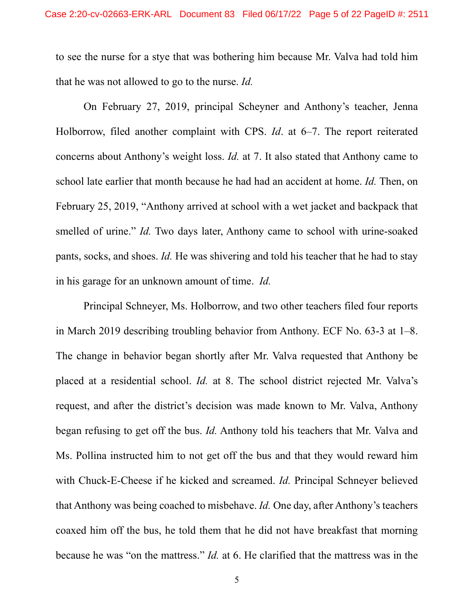to see the nurse for a stye that was bothering him because Mr. Valva had told him that he was not allowed to go to the nurse. *Id.*

On February 27, 2019, principal Scheyner and Anthony's teacher, Jenna Holborrow, filed another complaint with CPS. *Id*. at 6–7. The report reiterated concerns about Anthony's weight loss. *Id.* at 7. It also stated that Anthony came to school late earlier that month because he had had an accident at home. *Id.* Then, on February 25, 2019, "Anthony arrived at school with a wet jacket and backpack that smelled of urine." *Id.* Two days later, Anthony came to school with urine-soaked pants, socks, and shoes. *Id.* He was shivering and told his teacher that he had to stay in his garage for an unknown amount of time. *Id.*

Principal Schneyer, Ms. Holborrow, and two other teachers filed four reports in March 2019 describing troubling behavior from Anthony. ECF No. 63-3 at 1–8. The change in behavior began shortly after Mr. Valva requested that Anthony be placed at a residential school. *Id.* at 8. The school district rejected Mr. Valva's request, and after the district's decision was made known to Mr. Valva, Anthony began refusing to get off the bus. *Id.* Anthony told his teachers that Mr. Valva and Ms. Pollina instructed him to not get off the bus and that they would reward him with Chuck-E-Cheese if he kicked and screamed. *Id.* Principal Schneyer believed that Anthony was being coached to misbehave. *Id.* One day, after Anthony's teachers coaxed him off the bus, he told them that he did not have breakfast that morning because he was "on the mattress." *Id.* at 6. He clarified that the mattress was in the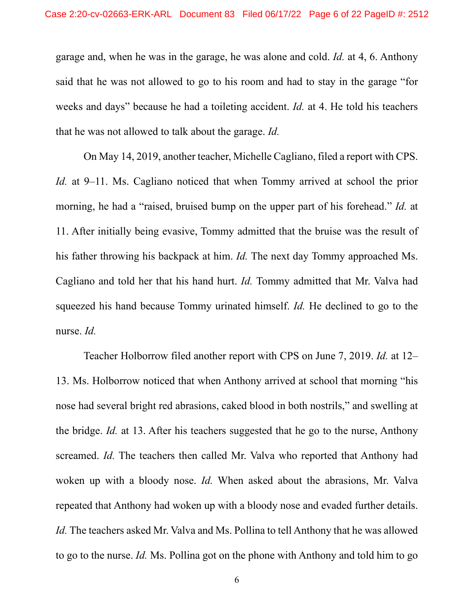garage and, when he was in the garage, he was alone and cold. *Id.* at 4, 6. Anthony said that he was not allowed to go to his room and had to stay in the garage "for weeks and days" because he had a toileting accident. *Id.* at 4. He told his teachers that he was not allowed to talk about the garage. *Id.*

On May 14, 2019, another teacher, Michelle Cagliano, filed a report with CPS. *Id.* at 9–11. Ms. Cagliano noticed that when Tommy arrived at school the prior morning, he had a "raised, bruised bump on the upper part of his forehead." *Id.* at 11. After initially being evasive, Tommy admitted that the bruise was the result of his father throwing his backpack at him. *Id.* The next day Tommy approached Ms. Cagliano and told her that his hand hurt. *Id.* Tommy admitted that Mr. Valva had squeezed his hand because Tommy urinated himself. *Id.* He declined to go to the nurse. *Id.*

Teacher Holborrow filed another report with CPS on June 7, 2019. *Id.* at 12– 13. Ms. Holborrow noticed that when Anthony arrived at school that morning "his nose had several bright red abrasions, caked blood in both nostrils," and swelling at the bridge. *Id.* at 13. After his teachers suggested that he go to the nurse, Anthony screamed. *Id.* The teachers then called Mr. Valva who reported that Anthony had woken up with a bloody nose. *Id.* When asked about the abrasions, Mr. Valva repeated that Anthony had woken up with a bloody nose and evaded further details. *Id.* The teachers asked Mr. Valva and Ms. Pollina to tell Anthony that he was allowed to go to the nurse. *Id.* Ms. Pollina got on the phone with Anthony and told him to go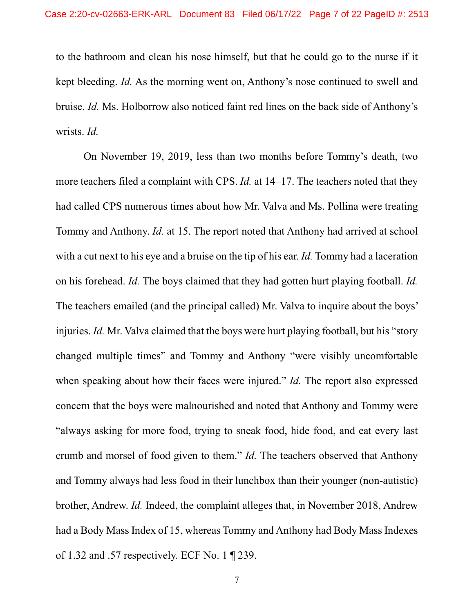to the bathroom and clean his nose himself, but that he could go to the nurse if it kept bleeding. *Id.* As the morning went on, Anthony's nose continued to swell and bruise. *Id.* Ms. Holborrow also noticed faint red lines on the back side of Anthony's wrists. *Id.* 

On November 19, 2019, less than two months before Tommy's death, two more teachers filed a complaint with CPS. *Id.* at 14–17. The teachers noted that they had called CPS numerous times about how Mr. Valva and Ms. Pollina were treating Tommy and Anthony. *Id.* at 15. The report noted that Anthony had arrived at school with a cut next to his eye and a bruise on the tip of his ear. *Id.* Tommy had a laceration on his forehead. *Id.* The boys claimed that they had gotten hurt playing football. *Id.* The teachers emailed (and the principal called) Mr. Valva to inquire about the boys' injuries. *Id.* Mr. Valva claimed that the boys were hurt playing football, but his "story" changed multiple times" and Tommy and Anthony "were visibly uncomfortable when speaking about how their faces were injured." *Id.* The report also expressed concern that the boys were malnourished and noted that Anthony and Tommy were "always asking for more food, trying to sneak food, hide food, and eat every last crumb and morsel of food given to them." *Id.* The teachers observed that Anthony and Tommy always had less food in their lunchbox than their younger (non-autistic) brother, Andrew. *Id.* Indeed, the complaint alleges that, in November 2018, Andrew had a Body Mass Index of 15, whereas Tommy and Anthony had Body Mass Indexes of 1.32 and .57 respectively. ECF No. 1 ¶ 239.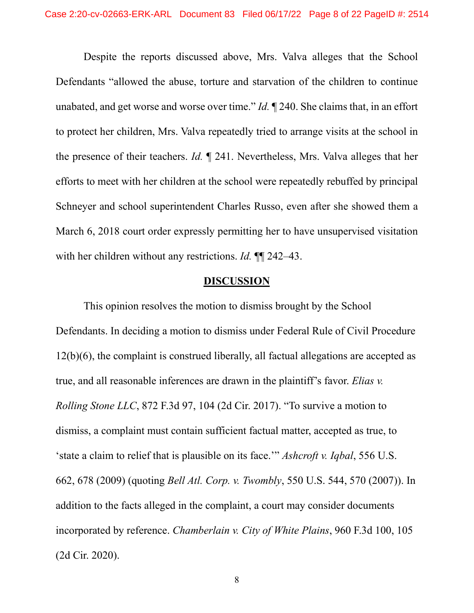Despite the reports discussed above, Mrs. Valva alleges that the School Defendants "allowed the abuse, torture and starvation of the children to continue unabated, and get worse and worse over time." *Id.* ¶ 240. She claims that, in an effort to protect her children, Mrs. Valva repeatedly tried to arrange visits at the school in the presence of their teachers. *Id.* ¶ 241. Nevertheless, Mrs. Valva alleges that her efforts to meet with her children at the school were repeatedly rebuffed by principal Schneyer and school superintendent Charles Russo, even after she showed them a March 6, 2018 court order expressly permitting her to have unsupervised visitation with her children without any restrictions. *Id.* ¶¶ 242–43.

### **DISCUSSION**

This opinion resolves the motion to dismiss brought by the School Defendants. In deciding a motion to dismiss under Federal Rule of Civil Procedure 12(b)(6), the complaint is construed liberally, all factual allegations are accepted as true, and all reasonable inferences are drawn in the plaintiff's favor. *Elias v. Rolling Stone LLC*, 872 F.3d 97, 104 (2d Cir. 2017). "To survive a motion to dismiss, a complaint must contain sufficient factual matter, accepted as true, to 'state a claim to relief that is plausible on its face.'" *Ashcroft v. Iqbal*, 556 U.S. 662, 678 (2009) (quoting *Bell Atl. Corp. v. Twombly*, 550 U.S. 544, 570 (2007)). In addition to the facts alleged in the complaint, a court may consider documents incorporated by reference. *Chamberlain v. City of White Plains*, 960 F.3d 100, 105 (2d Cir. 2020).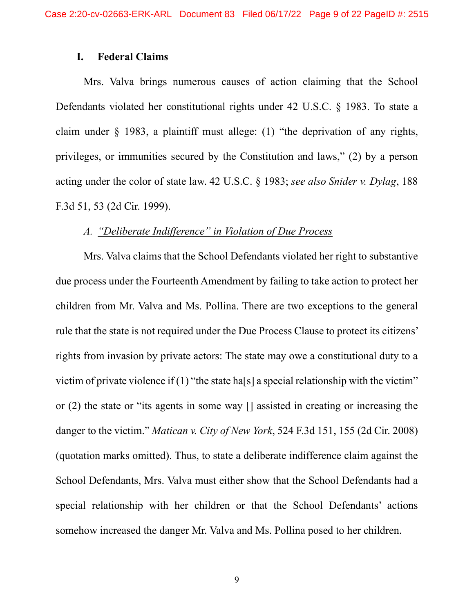# **I. Federal Claims**

Mrs. Valva brings numerous causes of action claiming that the School Defendants violated her constitutional rights under 42 U.S.C. § 1983. To state a claim under § 1983, a plaintiff must allege: (1) "the deprivation of any rights, privileges, or immunities secured by the Constitution and laws," (2) by a person acting under the color of state law. 42 U.S.C. § 1983; *see also Snider v. Dylag*, 188 F.3d 51, 53 (2d Cir. 1999).

### *A. "Deliberate Indifference" in Violation of Due Process*

Mrs. Valva claims that the School Defendants violated her right to substantive due process under the Fourteenth Amendment by failing to take action to protect her children from Mr. Valva and Ms. Pollina. There are two exceptions to the general rule that the state is not required under the Due Process Clause to protect its citizens' rights from invasion by private actors: The state may owe a constitutional duty to a victim of private violence if  $(1)$  "the state ha[s] a special relationship with the victim" or (2) the state or "its agents in some way [] assisted in creating or increasing the danger to the victim." *Matican v. City of New York*, 524 F.3d 151, 155 (2d Cir. 2008) (quotation marks omitted). Thus, to state a deliberate indifference claim against the School Defendants, Mrs. Valva must either show that the School Defendants had a special relationship with her children or that the School Defendants' actions somehow increased the danger Mr. Valva and Ms. Pollina posed to her children.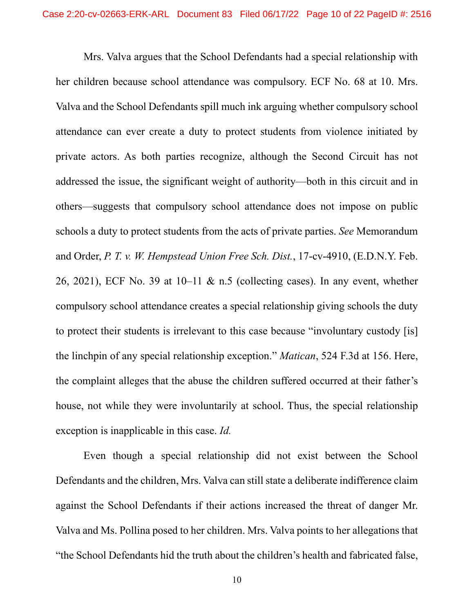Mrs. Valva argues that the School Defendants had a special relationship with her children because school attendance was compulsory. ECF No. 68 at 10. Mrs. Valva and the School Defendants spill much ink arguing whether compulsory school attendance can ever create a duty to protect students from violence initiated by private actors. As both parties recognize, although the Second Circuit has not addressed the issue, the significant weight of authority—both in this circuit and in others—suggests that compulsory school attendance does not impose on public schools a duty to protect students from the acts of private parties. *See* Memorandum and Order, *P. T. v. W. Hempstead Union Free Sch. Dist.*, 17-cv-4910, (E.D.N.Y. Feb. 26, 2021), ECF No. 39 at  $10-11 \& m.5$  (collecting cases). In any event, whether compulsory school attendance creates a special relationship giving schools the duty to protect their students is irrelevant to this case because "involuntary custody [is] the linchpin of any special relationship exception." *Matican*, 524 F.3d at 156. Here, the complaint alleges that the abuse the children suffered occurred at their father's house, not while they were involuntarily at school. Thus, the special relationship exception is inapplicable in this case. *Id.*

Even though a special relationship did not exist between the School Defendants and the children, Mrs. Valva can still state a deliberate indifference claim against the School Defendants if their actions increased the threat of danger Mr. Valva and Ms. Pollina posed to her children. Mrs. Valva points to her allegations that "the School Defendants hid the truth about the children's health and fabricated false,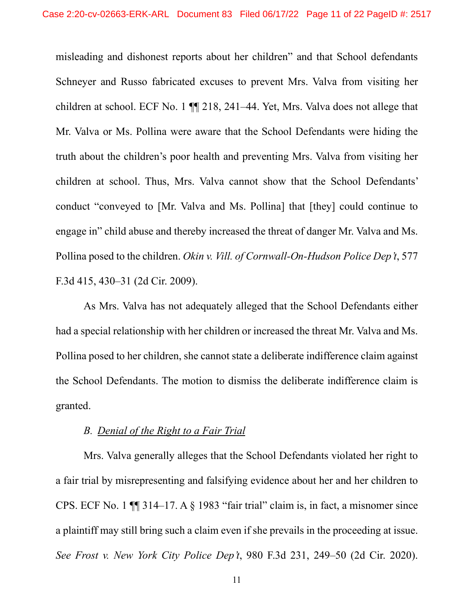misleading and dishonest reports about her children" and that School defendants Schneyer and Russo fabricated excuses to prevent Mrs. Valva from visiting her children at school. ECF No. 1 ¶¶ 218, 241–44. Yet, Mrs. Valva does not allege that Mr. Valva or Ms. Pollina were aware that the School Defendants were hiding the truth about the children's poor health and preventing Mrs. Valva from visiting her children at school. Thus, Mrs. Valva cannot show that the School Defendants' conduct "conveyed to [Mr. Valva and Ms. Pollina] that [they] could continue to engage in" child abuse and thereby increased the threat of danger Mr. Valva and Ms. Pollina posed to the children. *Okin v. Vill. of Cornwall-On-Hudson Police Dep't*, 577 F.3d 415, 430–31 (2d Cir. 2009).

As Mrs. Valva has not adequately alleged that the School Defendants either had a special relationship with her children or increased the threat Mr. Valva and Ms. Pollina posed to her children, she cannot state a deliberate indifference claim against the School Defendants. The motion to dismiss the deliberate indifference claim is granted.

# *B. Denial of the Right to a Fair Trial*

Mrs. Valva generally alleges that the School Defendants violated her right to a fair trial by misrepresenting and falsifying evidence about her and her children to CPS. ECF No. 1 ¶¶ 314–17. A § 1983 "fair trial" claim is, in fact, a misnomer since a plaintiff may still bring such a claim even if she prevails in the proceeding at issue. *See Frost v. New York City Police Dep't*, 980 F.3d 231, 249–50 (2d Cir. 2020).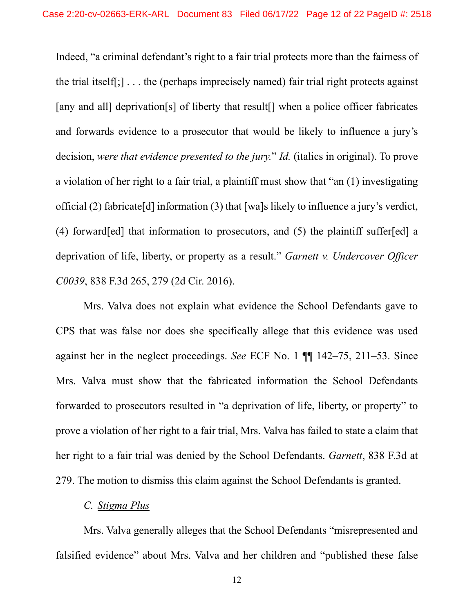Indeed, "a criminal defendant's right to a fair trial protects more than the fairness of the trial itself[;] . . . the (perhaps imprecisely named) fair trial right protects against [any and all] deprivation[s] of liberty that result<sup>[]</sup> when a police officer fabricates and forwards evidence to a prosecutor that would be likely to influence a jury's decision, *were that evidence presented to the jury.*" *Id.* (italics in original). To prove a violation of her right to a fair trial, a plaintiff must show that "an (1) investigating official (2) fabricate[d] information (3) that [wa]s likely to influence a jury's verdict, (4) forward[ed] that information to prosecutors, and (5) the plaintiff suffer[ed] a deprivation of life, liberty, or property as a result." *Garnett v. Undercover Officer C0039*, 838 F.3d 265, 279 (2d Cir. 2016).

Mrs. Valva does not explain what evidence the School Defendants gave to CPS that was false nor does she specifically allege that this evidence was used against her in the neglect proceedings. *See* ECF No. 1 ¶¶ 142–75, 211–53. Since Mrs. Valva must show that the fabricated information the School Defendants forwarded to prosecutors resulted in "a deprivation of life, liberty, or property" to prove a violation of her right to a fair trial, Mrs. Valva has failed to state a claim that her right to a fair trial was denied by the School Defendants. *Garnett*, 838 F.3d at 279. The motion to dismiss this claim against the School Defendants is granted.

# *C. Stigma Plus*

Mrs. Valva generally alleges that the School Defendants "misrepresented and falsified evidence" about Mrs. Valva and her children and "published these false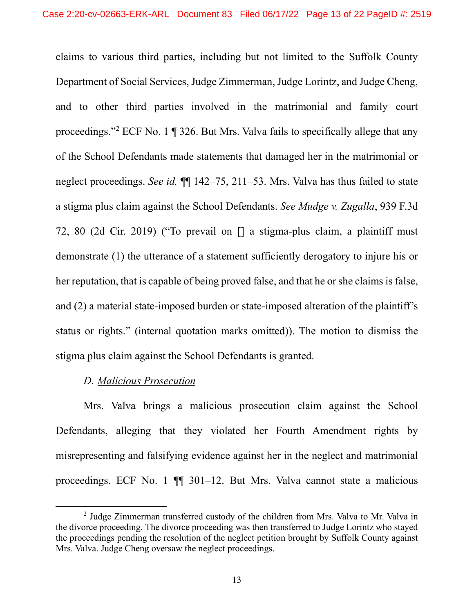claims to various third parties, including but not limited to the Suffolk County Department of Social Services, Judge Zimmerman, Judge Lorintz, and Judge Cheng, and to other third parties involved in the matrimonial and family court proceedings."2 ECF No. 1 ¶ 326. But Mrs. Valva fails to specifically allege that any of the School Defendants made statements that damaged her in the matrimonial or neglect proceedings. *See id.* ¶¶ 142–75, 211–53. Mrs. Valva has thus failed to state a stigma plus claim against the School Defendants. *See Mudge v. Zugalla*, 939 F.3d 72, 80 (2d Cir. 2019) ("To prevail on [] a stigma-plus claim, a plaintiff must demonstrate (1) the utterance of a statement sufficiently derogatory to injure his or her reputation, that is capable of being proved false, and that he or she claims is false, and (2) a material state-imposed burden or state-imposed alteration of the plaintiff's status or rights." (internal quotation marks omitted)). The motion to dismiss the stigma plus claim against the School Defendants is granted.

# *D. Malicious Prosecution*

Mrs. Valva brings a malicious prosecution claim against the School Defendants, alleging that they violated her Fourth Amendment rights by misrepresenting and falsifying evidence against her in the neglect and matrimonial proceedings. ECF No. 1 ¶¶ 301–12. But Mrs. Valva cannot state a malicious

 $2$  Judge Zimmerman transferred custody of the children from Mrs. Valva to Mr. Valva in the divorce proceeding. The divorce proceeding was then transferred to Judge Lorintz who stayed the proceedings pending the resolution of the neglect petition brought by Suffolk County against Mrs. Valva. Judge Cheng oversaw the neglect proceedings.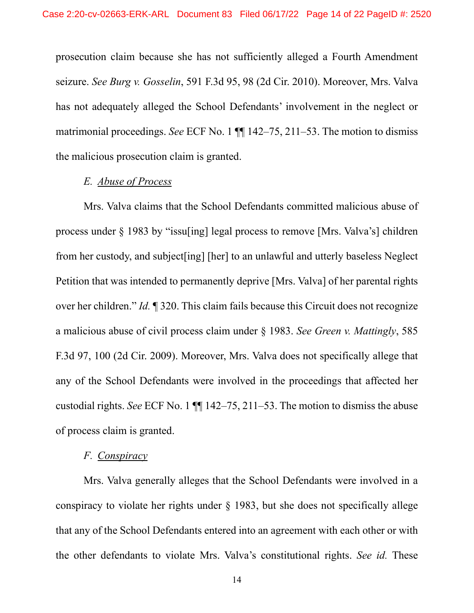prosecution claim because she has not sufficiently alleged a Fourth Amendment seizure. *See Burg v. Gosselin*, 591 F.3d 95, 98 (2d Cir. 2010). Moreover, Mrs. Valva has not adequately alleged the School Defendants' involvement in the neglect or matrimonial proceedings. *See* ECF No. 1 ¶¶ 142–75, 211–53. The motion to dismiss the malicious prosecution claim is granted.

# *E. Abuse of Process*

Mrs. Valva claims that the School Defendants committed malicious abuse of process under § 1983 by "issu[ing] legal process to remove [Mrs. Valva's] children from her custody, and subject[ing] [her] to an unlawful and utterly baseless Neglect Petition that was intended to permanently deprive [Mrs. Valva] of her parental rights over her children." *Id.* ¶ 320. This claim fails because this Circuit does not recognize a malicious abuse of civil process claim under § 1983. *See Green v. Mattingly*, 585 F.3d 97, 100 (2d Cir. 2009). Moreover, Mrs. Valva does not specifically allege that any of the School Defendants were involved in the proceedings that affected her custodial rights. *See* ECF No. 1 ¶¶ 142–75, 211–53. The motion to dismiss the abuse of process claim is granted.

### *F. Conspiracy*

Mrs. Valva generally alleges that the School Defendants were involved in a conspiracy to violate her rights under § 1983, but she does not specifically allege that any of the School Defendants entered into an agreement with each other or with the other defendants to violate Mrs. Valva's constitutional rights. *See id.* These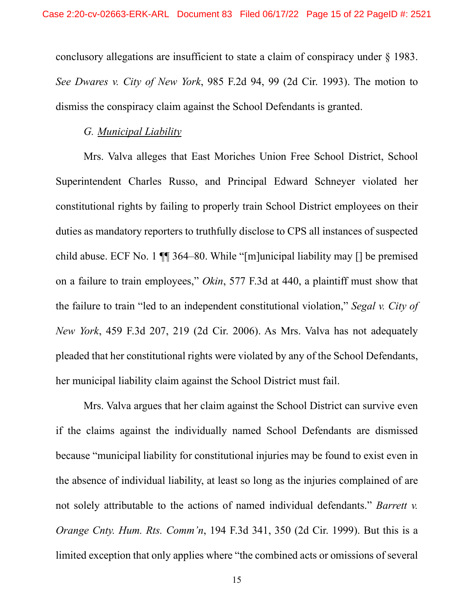conclusory allegations are insufficient to state a claim of conspiracy under § 1983. *See Dwares v. City of New York*, 985 F.2d 94, 99 (2d Cir. 1993). The motion to dismiss the conspiracy claim against the School Defendants is granted.

### *G. Municipal Liability*

Mrs. Valva alleges that East Moriches Union Free School District, School Superintendent Charles Russo, and Principal Edward Schneyer violated her constitutional rights by failing to properly train School District employees on their duties as mandatory reporters to truthfully disclose to CPS all instances of suspected child abuse. ECF No. 1 ¶¶ 364–80. While "[m]unicipal liability may [] be premised on a failure to train employees," *Okin*, 577 F.3d at 440, a plaintiff must show that the failure to train "led to an independent constitutional violation," *Segal v. City of New York*, 459 F.3d 207, 219 (2d Cir. 2006). As Mrs. Valva has not adequately pleaded that her constitutional rights were violated by any of the School Defendants, her municipal liability claim against the School District must fail.

Mrs. Valva argues that her claim against the School District can survive even if the claims against the individually named School Defendants are dismissed because "municipal liability for constitutional injuries may be found to exist even in the absence of individual liability, at least so long as the injuries complained of are not solely attributable to the actions of named individual defendants." *Barrett v. Orange Cnty. Hum. Rts. Comm'n*, 194 F.3d 341, 350 (2d Cir. 1999). But this is a limited exception that only applies where "the combined acts or omissions of several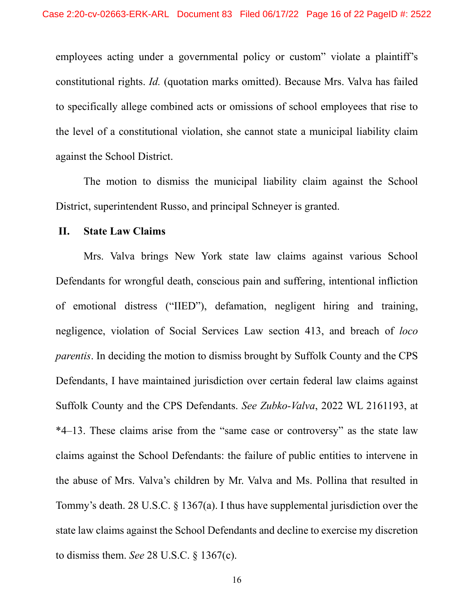employees acting under a governmental policy or custom" violate a plaintiff's constitutional rights. *Id.* (quotation marks omitted). Because Mrs. Valva has failed to specifically allege combined acts or omissions of school employees that rise to the level of a constitutional violation, she cannot state a municipal liability claim against the School District.

The motion to dismiss the municipal liability claim against the School District, superintendent Russo, and principal Schneyer is granted.

### **II. State Law Claims**

Mrs. Valva brings New York state law claims against various School Defendants for wrongful death, conscious pain and suffering, intentional infliction of emotional distress ("IIED"), defamation, negligent hiring and training, negligence, violation of Social Services Law section 413, and breach of *loco parentis*. In deciding the motion to dismiss brought by Suffolk County and the CPS Defendants, I have maintained jurisdiction over certain federal law claims against Suffolk County and the CPS Defendants. *See Zubko-Valva*, 2022 WL 2161193, at \*4–13. These claims arise from the "same case or controversy" as the state law claims against the School Defendants: the failure of public entities to intervene in the abuse of Mrs. Valva's children by Mr. Valva and Ms. Pollina that resulted in Tommy's death. 28 U.S.C. § 1367(a). I thus have supplemental jurisdiction over the state law claims against the School Defendants and decline to exercise my discretion to dismiss them. *See* 28 U.S.C. § 1367(c).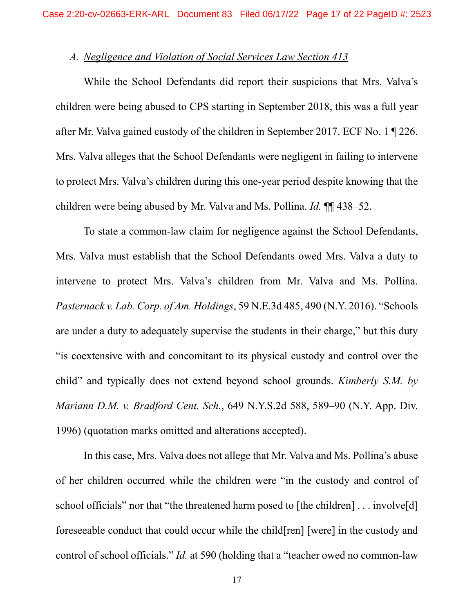# *A. Negligence and Violation of Social Services Law Section 413*

While the School Defendants did report their suspicions that Mrs. Valva's children were being abused to CPS starting in September 2018, this was a full year after Mr. Valva gained custody of the children in September 2017. ECF No. 1 ¶ 226. Mrs. Valva alleges that the School Defendants were negligent in failing to intervene to protect Mrs. Valva's children during this one-year period despite knowing that the children were being abused by Mr. Valva and Ms. Pollina. *Id.* ¶¶ 438–52.

To state a common-law claim for negligence against the School Defendants, Mrs. Valva must establish that the School Defendants owed Mrs. Valva a duty to intervene to protect Mrs. Valva's children from Mr. Valva and Ms. Pollina. *Pasternack v. Lab. Corp. of Am. Holdings*, 59 N.E.3d 485, 490 (N.Y. 2016). "Schools are under a duty to adequately supervise the students in their charge," but this duty "is coextensive with and concomitant to its physical custody and control over the child" and typically does not extend beyond school grounds. *Kimberly S.M. by Mariann D.M. v. Bradford Cent. Sch.*, 649 N.Y.S.2d 588, 589–90 (N.Y. App. Div. 1996) (quotation marks omitted and alterations accepted).

In this case, Mrs. Valva does not allege that Mr. Valva and Ms. Pollina's abuse of her children occurred while the children were "in the custody and control of school officials" nor that "the threatened harm posed to [the children] . . . involve[d] foreseeable conduct that could occur while the child[ren] [were] in the custody and control of school officials." *Id.* at 590 (holding that a "teacher owed no common-law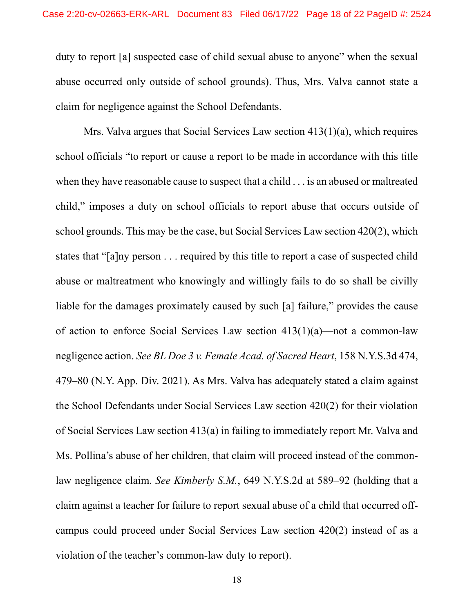duty to report [a] suspected case of child sexual abuse to anyone" when the sexual abuse occurred only outside of school grounds). Thus, Mrs. Valva cannot state a claim for negligence against the School Defendants.

Mrs. Valva argues that Social Services Law section 413(1)(a), which requires school officials "to report or cause a report to be made in accordance with this title when they have reasonable cause to suspect that a child . . . is an abused or maltreated child," imposes a duty on school officials to report abuse that occurs outside of school grounds. This may be the case, but Social Services Law section 420(2), which states that "[a]ny person . . . required by this title to report a case of suspected child abuse or maltreatment who knowingly and willingly fails to do so shall be civilly liable for the damages proximately caused by such [a] failure," provides the cause of action to enforce Social Services Law section  $413(1)(a)$ —not a common-law negligence action. *See BL Doe 3 v. Female Acad. of Sacred Heart*, 158 N.Y.S.3d 474, 479–80 (N.Y. App. Div. 2021). As Mrs. Valva has adequately stated a claim against the School Defendants under Social Services Law section 420(2) for their violation of Social Services Law section 413(a) in failing to immediately report Mr. Valva and Ms. Pollina's abuse of her children, that claim will proceed instead of the commonlaw negligence claim. *See Kimberly S.M.*, 649 N.Y.S.2d at 589–92 (holding that a claim against a teacher for failure to report sexual abuse of a child that occurred offcampus could proceed under Social Services Law section 420(2) instead of as a violation of the teacher's common-law duty to report).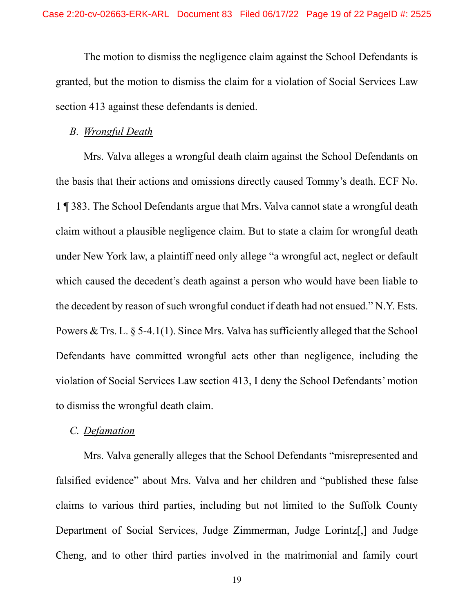The motion to dismiss the negligence claim against the School Defendants is granted, but the motion to dismiss the claim for a violation of Social Services Law section 413 against these defendants is denied.

#### *B. Wrongful Death*

Mrs. Valva alleges a wrongful death claim against the School Defendants on the basis that their actions and omissions directly caused Tommy's death. ECF No. 1 ¶ 383. The School Defendants argue that Mrs. Valva cannot state a wrongful death claim without a plausible negligence claim. But to state a claim for wrongful death under New York law, a plaintiff need only allege "a wrongful act, neglect or default which caused the decedent's death against a person who would have been liable to the decedent by reason of such wrongful conduct if death had not ensued." N.Y. Ests. Powers & Trs. L. § 5-4.1(1). Since Mrs. Valva has sufficiently alleged that the School Defendants have committed wrongful acts other than negligence, including the violation of Social Services Law section 413, I deny the School Defendants' motion to dismiss the wrongful death claim.

### *C. Defamation*

Mrs. Valva generally alleges that the School Defendants "misrepresented and falsified evidence" about Mrs. Valva and her children and "published these false claims to various third parties, including but not limited to the Suffolk County Department of Social Services, Judge Zimmerman, Judge Lorintz[,] and Judge Cheng, and to other third parties involved in the matrimonial and family court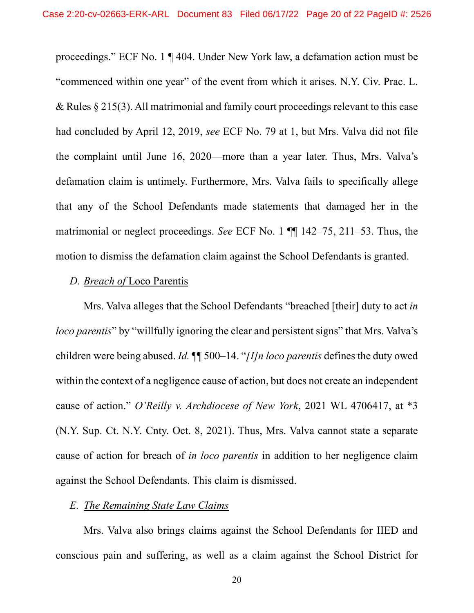proceedings." ECF No. 1 ¶ 404. Under New York law, a defamation action must be "commenced within one year" of the event from which it arises. N.Y. Civ. Prac. L. & Rules § 215(3). All matrimonial and family court proceedings relevant to this case had concluded by April 12, 2019, *see* ECF No. 79 at 1, but Mrs. Valva did not file the complaint until June 16, 2020—more than a year later. Thus, Mrs. Valva's defamation claim is untimely. Furthermore, Mrs. Valva fails to specifically allege that any of the School Defendants made statements that damaged her in the matrimonial or neglect proceedings. *See* ECF No. 1 ¶¶ 142–75, 211–53. Thus, the motion to dismiss the defamation claim against the School Defendants is granted.

### *D. Breach of* Loco Parentis

Mrs. Valva alleges that the School Defendants "breached [their] duty to act *in loco parentis*" by "willfully ignoring the clear and persistent signs" that Mrs. Valva's children were being abused. *Id.* ¶¶ 500–14. "*[I]n loco parentis* defines the duty owed within the context of a negligence cause of action, but does not create an independent cause of action." *O'Reilly v. Archdiocese of New York*, 2021 WL 4706417, at \*3 (N.Y. Sup. Ct. N.Y. Cnty. Oct. 8, 2021). Thus, Mrs. Valva cannot state a separate cause of action for breach of *in loco parentis* in addition to her negligence claim against the School Defendants. This claim is dismissed.

#### *E. The Remaining State Law Claims*

Mrs. Valva also brings claims against the School Defendants for IIED and conscious pain and suffering, as well as a claim against the School District for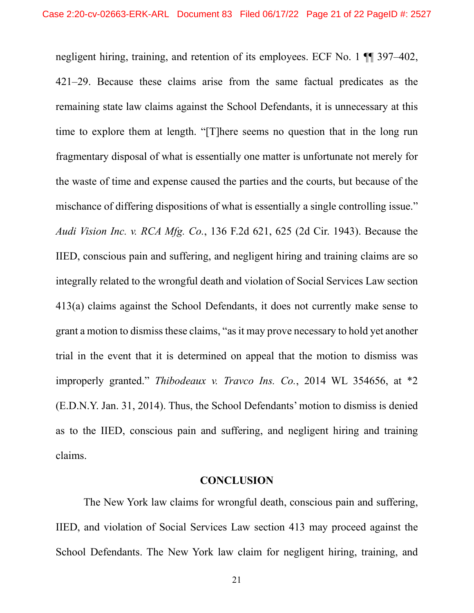negligent hiring, training, and retention of its employees. ECF No. 1 ¶¶ 397–402, 421–29. Because these claims arise from the same factual predicates as the remaining state law claims against the School Defendants, it is unnecessary at this time to explore them at length. "[T]here seems no question that in the long run fragmentary disposal of what is essentially one matter is unfortunate not merely for the waste of time and expense caused the parties and the courts, but because of the mischance of differing dispositions of what is essentially a single controlling issue." *Audi Vision Inc. v. RCA Mfg. Co.*, 136 F.2d 621, 625 (2d Cir. 1943). Because the IIED, conscious pain and suffering, and negligent hiring and training claims are so integrally related to the wrongful death and violation of Social Services Law section 413(a) claims against the School Defendants, it does not currently make sense to grant a motion to dismiss these claims, "as it may prove necessary to hold yet another trial in the event that it is determined on appeal that the motion to dismiss was improperly granted." *Thibodeaux v. Travco Ins. Co.*, 2014 WL 354656, at \*2 (E.D.N.Y. Jan. 31, 2014). Thus, the School Defendants' motion to dismiss is denied as to the IIED, conscious pain and suffering, and negligent hiring and training claims.

#### **CONCLUSION**

The New York law claims for wrongful death, conscious pain and suffering, IIED, and violation of Social Services Law section 413 may proceed against the School Defendants. The New York law claim for negligent hiring, training, and